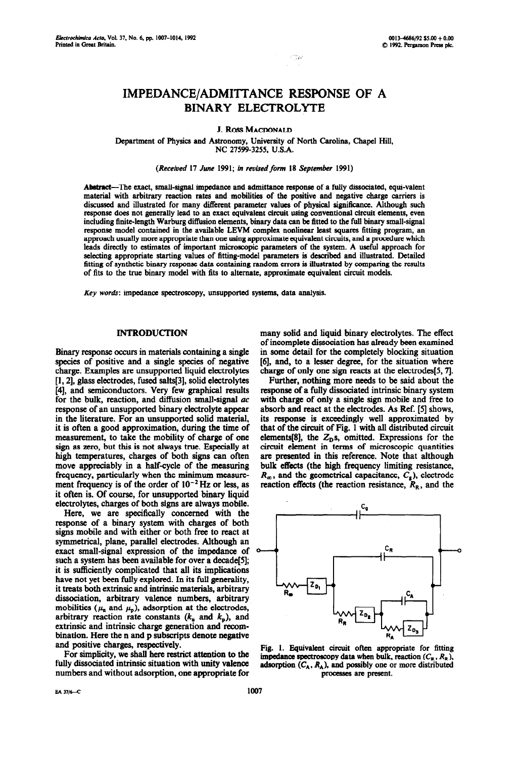# IMPEDANCE/ADMITTANCE RESPONSE OF A BINARY ELECTROLYTE

:, .

J. Ross **MACDONALD** 

**Department of Physics and Astronomy, University of North Carolina, Chapel Hill, NC 27599-3255, U.S.A.** 

*(Received 17 June* **1991; in** *revised form* **18** *September* **1991)** 

Abstract-The exact, small-signal impedance and admittance response of a fully dissociated, equi-valent **material with arbitrary reaction rates and mobilities of the positive and negative charge carriers is discussed and illustrated for many diRerent parameter values of physical significance. Although such response does not generally lead to an exact equivalent circuit using conventional circuit elements, even including finite-length Warburg diffusion elements, binary data can be fitted to the full binary small-signal response model contained in the available LEVM complex nonlinear least squares fitting program, an approach usually more appropriate than one using approximate equivalent circuits, and a procedure which leads directly to estimates of important microscopic parameters of the system. A useful approach for selecting appropriate starting values of fitting-model parameters is described and illustrated. Detailed fitting of synthetic binary response data containing random errors is illustrated by comparing the results of fits to the true binary model with fits to alternate, approximate equivalent circuit models.** 

*Key words:* **impedance spectroscopy, unsupported systems,** data analysis.

#### **INTRODUCTION**

Binary response occurs in materials containing a single species of positive and a single species of negative charge. Examples are unsupported liquid electrolytes [1, 2], glass electrodes, fused salts[3], solid electrolytes [4], and semiconductors. Very few graphical results for the bulk, reaction, and diffusion small-signal  $ac$ response of an unsupported binary electrolyte appear in the literature. For an unsupported solid material, it is often a good approximation, during the time of measurement, to take the mobility of charge of one sign as zero, but this is not always true. Especially at high temperatures, charges of both signs can often move appreciably in a half-cycle of the measuring frequency, particularly when the minimum measurement frequency is of the order of  $10^{-2}$  Hz or less, as it often is. Of course, for unsupported binary liquid electrolytes, charges of both signs are always mobile.

Here, we are specifically concerned with the response of a binary system with charges of both signs mobile and with either or both free to react at symmetrical, plane, parallel electrodes. Although an exact small-signal expression of the impedance of such a system has been available for over a decade[5]; it is sufficiently complicated that all its implications have not yet been fully explored. In its full generality, it treats both extrinsic and intrinsic materials, arbitrary dissociation, arbitrary valence numbers, arbitrary mobilities ( $\mu_n$  and  $\mu_p$ ), adsorption at the electrodes, arbitrary reaction rate constants  $(k_n$  and  $k_p$ ), and extrinsic and intrinsic charge generation and recombination. Here the n and p subscripts denote negative and positive charges, respectively.

For simplicity, we shall here restrict attention to the fully dissociated intrinsic situation with unity valence numbers and without adsorption, one appropriate for

many solid and liquid binary electrolytes. The effect of incomplete dissociation has already been examined in some detail for the completely blocking situation [6J, and, to a lesser degree, for the situation where charge of only one sign reacts at the electrodes[5,7].

Further, nothing more needs to be said about the response of a fully dissociated intrinsic binary system with charge of only a single sign mobile and free to absorb and react at the electrodes. As Ref. [S] shows, its response is exceedingly well approximated by that of the circuit of Fig. 1 with all distributed circuit elements[8], the  $Z_{\text{D}}$ s, omitted. Expressions for the circuit element in terms of microscopic quantities are presented in this reference. Note that although bulk effects (the high frequency limiting resistance,  $R_{\infty}$ , and the geometrical capacitance,  $C_{g}$ ), electrode reaction effects (the reaction resistance,  $R_R$ , and the



**Fig. 1. Equivalent circuit often appropriate for fitting impedance spectroscopy data when bulk, reaction**  $(C_R, R_R)$ **, adsorption (C,.** *RA),* **and possibly one or more distributed**  processes are present.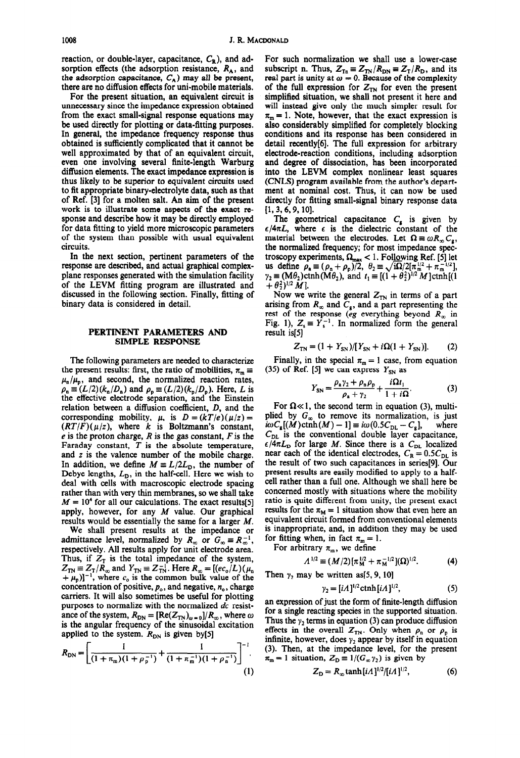reaction, or double-layer, capacitance,  $C_R$ ), and adsorption effects (the adsorption resistance, *RA,* and the adsorption capacitance,  $C_A$ ) may all be present, there are no diffusion effects for uni-mobile materials.

For the present situation, an equivalent circuit is unnecessary since the impedance expression obtained from the exact small-signal response equations may be used directly for plotting or data-fitting purposes. In general, the impedance frequency response thus obtained is sufficiently complicated that it cannot be well approximated by that of an equivalent circuit, even one involving several finite-length Warburg diffusion elements. The exact impedance expression is thus likely to be superior to equivalent circuits used to fit appropriate binary-electrolyte data, such as that of Ref. [3] for a molten salt. An aim of the present work is to illustrate some aspects of the exact response and describe how it may be directly employed for data fitting to yield more microscopic parameters of the system than possible with usual equivalent circuits.

In the next section, pertinent parameters of the response are described, and actual graphical complexplane responses generated with the simulation facility of the LEVM fitting program are illustrated and discussed in the following section. Finally, fitting of binary data is considered in detail.

## PERTINENT PARAMETERS AND SIMPLE RESPONSE

The following parameters are needed to characterize the present results: first, the ratio of mobilities,  $\pi_m \equiv$  $\mu_{\rm n}/\mu_{\rm p}$ , and second, the normalized reaction rates,  $\rho_n \equiv (L/2) (k_n/D_n)$  and  $\rho_n \equiv (L/2) (k_n/D_n)$ . Here, L is the effective electrode senaration. and the Einstein relation between a diffusion coefficient, *D,* and the corresponding mobility,  $\mu$ , is  $D = (kT/e)(\mu/z) =$  $(RT/F)(\mu/z)$ , where k is Boltzmann's constant, e is the proton charge, *R* is the gas constant, *F* is the Faraday constant,  $T$  is the absolute temperature, and z is the valence number of the mobile charge. In addition, we define  $M = L/2L<sub>D</sub>$ , the number of Debye lengths,  $L<sub>D</sub>$ , in the half-cell. Here we wish to deal with cells with macroscopic electrode spacing rather than with very thin membranes, so we shall take  $M = 10<sup>4</sup>$  for all our calculations. The exact results[5] apply, however, for any *M* value. Our graphical results would be essentially the same for a larger *M.* 

We shall present results at the impedance or admittance level, normalized by  $R_{\infty}$  or  $G_{\infty} \equiv R_{\infty}^{-1}$ , respectively. All results apply for unit electrode area. Thus, if  $Z_T$  is the total impedance of the system,  $Z_{\text{TN}} \equiv Z_{\text{T}}/R_{\infty}$  and  $Y_{\text{TN}} \equiv Z_{\text{TN}}^{-1}$ . Here  $R_{\infty} = [(ec_{\text{o}}/L)(\mu_{\text{n}})]$  $(+\mu_{p})$ ]<sup>-1</sup>, where  $c_{o}$  is the common bulk value of the concentration of positive,  $p_0$ , and negative,  $n_0$ , charge carriers. It will also sometimes be useful for plotting purposes to normalize with the normalized *dc* resistance of the system,  $R_{DN} = [Re(Z_{TN})_{\omega=0}]/R_{\infty}$ , where  $\omega$ is the angular frequency of the sinusoidal excitation

is the angular frequency of the sinusoidal excitation applied to the system. 
$$
R_{\text{DN}}
$$
 is given by[5]  
\n
$$
R_{\text{DN}} = \left[ \frac{1}{(1 + \pi_{\text{m}})(1 + \rho_{\text{p}}^{-1})} + \frac{1}{(1 + \pi_{\text{m}}^{-1})(1 + \rho_{\text{n}}^{-1})} \right]^{-1}.
$$
\n(1)

For such normalization we shall use a lower-case subscript n. Thus,  $Z_{\text{Ta}} \equiv Z_{\text{TN}} / R_{\text{DN}} \equiv Z_{\text{T}} / R_{\text{D}}$ , and its real part is unity at  $\omega = 0$ . Because of the complexity of the full expression for  $Z_{TN}$  for even the present simplified situation, we shall not present it here and will instead give only the much simpler result for  $\pi_m = 1$ . Note, however, that the exact expression is also considerably simplified for completely blocking conditions and its response has been considered in detail recently[6]. The full expression for arbitrary electrode-reaction conditions, including adsorption and degree of dissociation, has been incorporated into the LEVM complex nonlinear least squares (CNLS) program available from the author's department at nominal cost. Thus, it can now be used directly for fitting small-signal binary response data  $[1, 3, 6, 9, 10].$ 

The geometrical capacitance  $C_{\mathbf{g}}$  is given by  $\epsilon/4\pi L$ , where  $\epsilon$  is the dielectric constant of the material between the electrodes. Let  $\Omega \equiv \omega R_{\infty} C_{g}$ , the normalized frequency; for most impedance spectroscopy experiments,  $\Omega_{\text{max}} < 1$ . Following Ref. [5] let us define  $\rho_{\rm a} \equiv (\rho_{\rm n} + \rho_{\rm p})/2$ ,  $\theta_2 \equiv \sqrt{\mathrm{i} \Omega/2} [\pi_{\rm m}^{1/2} + \pi_{\rm m}^{-1/2}]$  $\gamma_2 \equiv (M\theta_2)$ ctnh $(M\theta_2)$ , and  $t_1 \equiv [(1 + \theta_2^2)^{1/2} M]$ ctnh[

Now we write the general  $Z_{TN}$  in terms of a part arising from  $R_{\infty}$  and  $C_{\rm g}$ , and a part representing the rest of the response (eg everything beyond  $R_{\infty}$  in Fig. 1),  $Z_s \equiv Y_s^{-1}$ . In normalized form the general result is[5]

$$
Z_{TN} = (1 + Y_{SN})/[Y_{SN} + i\Omega(1 + Y_{SN})].
$$
 (2)

Finally, in the special  $\pi_m = 1$  case, from equation (35) of Ref. [5] we can express  $Y_{SN}$  as

$$
Y_{\rm SN} = \frac{\rho_{\rm a}\gamma_2 + \rho_{\rm n}\rho_{\rm p}}{\rho_{\rm a} + \gamma_2} + \frac{i\Omega t_1}{1 + i\Omega}.\tag{3}
$$

For  $\Omega \ll 1$ , the second term in equation (3), multiplied by  $G_{\infty}$  to remove its normalization, is just  $i\omega C_{\rm g}[(M)\text{ctnh}(M) - 1] \equiv i\omega(0.5C_{\rm DL} - C_{\rm g}],$  where  $C_{\text{DL}}$  is the conventional double layer capacitance,  $\epsilon/4\pi L_{\rm p}$  for large *M*. Since there is a  $C_{\rm DL}$  localized near each of the identical electrodes,  $C_R = 0.5C_{DL}$  is the result of two such capacitances in series[9]. Our present results are easily modified to apply to a halfcell rather than a full one. Although we shall here be concerned mostly with situations where the mobility ratio is quite different from unity, the present exact results for the  $\pi_M = 1$  situation show that even here an equivalent circuit formed from conventional elements is inappropriate, and, in addition they may be used for fitting when, in fact  $\pi_m = 1$ .

For arbitrary  $\pi_m$ , we define

$$
\Lambda^{1/2} \equiv (M/2) [\pi_{\rm M}^{1/2} + \pi_{\rm M}^{-1/2}] (\Omega)^{1/2}.
$$
 (4)

Then  $\gamma_2$  may be written as[5, 9, 10]

$$
\gamma_2 = [i \Lambda]^{1/2} \coth[i \Lambda]^{1/2},\tag{5}
$$

an expression of just the form of finite-length diffusion for a single reacting species in the supported situation. Thus the  $\gamma_2$  terms in equation (3) can produce diffusion effects in the overall  $Z_{TN}$ . Only when  $\rho_n$  or  $\rho_p$  is infinite, however, does  $y_2$  appear by itself in equation (3). Then, at the impedance level, for the present  $\pi_{\rm m} = 1$  situation,  $Z_{\rm D} = 1/(G_{\infty} \gamma_2)$  is given by

$$
Z_{\rm D} = R_{\infty} \tanh[iA]^{1/2}/[iA]^{1/2}, \tag{6}
$$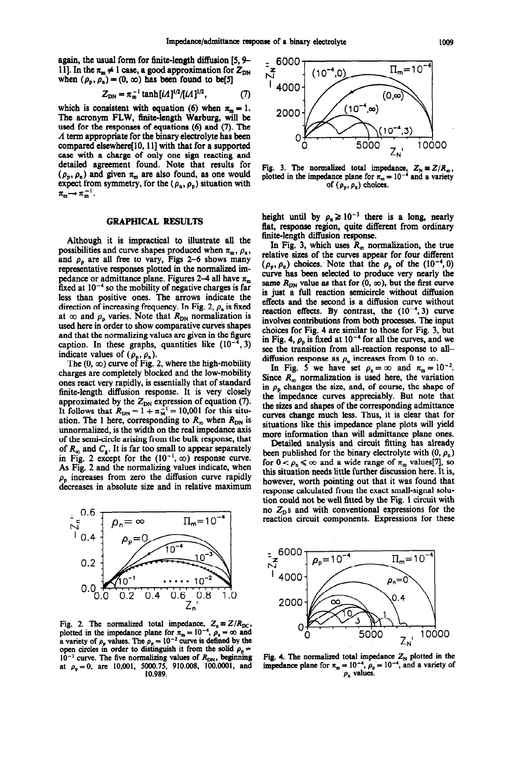again, the usual form for finite-length diffusion [S, 9- 11]. In the  $\pi_{m} \neq 1$  case, a good approximation for  $Z_{DN}$ when  $(\rho_p, \rho_n) = (0, \infty)$  has been found to be[5]

$$
Z_{\rm DN} = \pi_{\rm m}^{-1} \tanh[iA]^{1/2}/[iA]^{1/2}, \qquad (7)
$$

which is consistent with equation (6) when  $\pi_m = 1$ . The acronym FLW, finite-length Warburg, will be used for the responses of equations (6) and (7). The A term appropriate for the binary electrolyte has been compared elsewhere[10, 11] with that for a supported case with a charge of only one sign reacting and detailed agreement found. Note that results for  $(\rho_p, \rho_n)$  and given  $\pi_m$  are also found, as one would expect from symmetry, for the  $(\rho_n, \rho_p)$  situation with  $\pi_{m} \rightarrow \pi_{m}^{-1}$ .

## GRAPHICAL RESULTS

Although it is impractical to illustrate all the possibilities and curve shapes produced when  $\pi_{m}$ ,  $\rho_{n}$ , and  $\rho_p$  are all free to vary, Figs 2-6 shows many representative responses plotted in the normalixed impedance or admittance plane. Figures 2-4 all have  $\pi_{m}$ fixed at  $10^{-4}$  so the mobility of negative charges is far less than positive ones. Tbe arrows indicate the direction of increasing frequency. In Fig. 2,  $\rho_n$  is fixed at  $\infty$  and  $\rho_{\rm p}$  varies. Note that  $R_{\rm DN}$  normalization is used here in order to show comparative curves shapes and that the normalizing values are given in the figure caption. In these graphs, quantities like  $(10^{-4}, 3)$ indicate values of  $(\rho_p, \rho_n)$ .

The  $(0, \infty)$  curve of Fig. 2, where the high-mobility charges are completely blocked and the low-mobility ones react very rapidly, is essentially that of standard finite-length diffusion response. It is very closely approximated by the  $Z_{DN}$  expression of equation (7). It follows that  $R_{\text{DN}} = 1 + \pi_{\text{M}}^{-1} = 10,001$  for this situation. The 1 here, corresponding to  $R_{\infty}$  when  $R_{\text{DN}}$  is unnormalixed, is the width on the real impedance axis of the semi-circle arising from the bulk response, that of  $R_{\infty}$  and  $C_{g}$ . It is far too small to appear separately in Fig. 2 except for the  $(10^{-1}, \infty)$  response curve. As Fig. 2 and the normalizing values indicate, when  $\rho_p$  increases from zero the diffusion curve rapidly decreases in absolute size and in relative maximum



Fig. 2. The normalized total impedance,  $Z_n \equiv Z/R_{\text{D}}$ plotted in the impedance plane for  $\pi_{m} = 10^{-4}$ ,  $\rho_{n} = \infty$  and a variety of  $\rho_p$  values. The  $\rho_p = 10^{-2}$  curve is defined by the open circles in order to distinguish it from the solid  $\rho_p =$  $10^{-1}$  curve. The five normalizing values of  $R_{DN}$ , beginning at  $\rho_p = 0$ , are 10,001, 5000.75, 910.008, 100.0001, and 10.989.



Fig. 3. The normalized total impedance,  $Z_N \equiv Z/R_o$ plotted in the impedance plane for  $\pi_{m} = 10^{-4}$  and a variety of  $(\rho_p, \rho_n)$  choices.

height until by  $\rho_n \ge 10^{-3}$  there is a long, nearly flat, response region, quite different from ordinary finite-length diffusion response.

In Fig. 3, which uses  $R_{\infty}$  normalization, the true relative sixes of the curves appear for four different  $(\rho_p, \rho_n)$  choices. Note that the  $\rho_p$  of the (10<sup>-4</sup>, 0) curve has been selected to produce very nearly the same  $R_{DN}$  value as that for  $(0, \infty)$ , but the first curve is just a full reaction semicircle without diffusion effects and the second is a diffusion curve without reaction effects. By contrast, the  $(10^{-4}, 3)$  curve involves contributions from both processes. The input choices for Fig. 4 are similar to those for Fig. 3, but in Fig. 4,  $\rho_p$  is fixed at 10<sup>-4</sup> for all the curves, and we see the transition from all-reaction response to alldiffusion response as  $\rho_n$  increases from 0 to  $\infty$ .

In Fig. 5 we have set  $\rho_n = \infty$  and  $\pi_m = 10^{-2}$ . Since  $R_{\infty}$  normalization is used here, the variation in  $\rho_p$  changes the size, and, of course, the shape of the impedance curves appreciably. But note that the sixes and shapes of the corresponding admittance curves change much less. Thus, it is clear that for situations like this impedance plane plots will yield more information than will admittance plane ones.

Detailed analysis and circuit fitting has already been published for the binary electrolyte with  $(0, \rho_n)$ for  $0 < \rho_n \leq \infty$  and a wide range of  $\pi_m$  values[7], so this situation needs little further discussion here. It is, however, worth pointing out that it was found that response calculated from the exact small-signal solution could not be well fitted by the Fig. 1 circuit with no *Z,s* and with conventional expressions for the reaction circuit components. Expressions for these



Fig. 4. The normalized total impedance  $Z_{\rm N}$  plotted in the impedance plane for  $\pi_{\rm m} = 10^{-4}$ ,  $\rho_{\rm p} = 10^{-4}$ , and a variety of  $\rho_n$  values.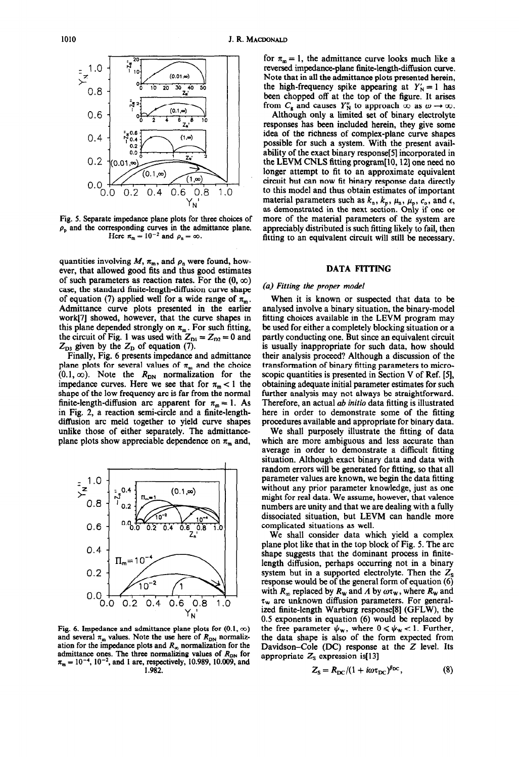

Fig. 5. Separate impedance plane plots for three choices of  $\rho_p$  and the corresponding curves in the admittance plane. Here  $\pi_{\rm m} = 10^{-2}$  and  $\rho_{\rm n} = \infty$ .

quantities involving  $M$ ,  $\pi_{m}$ , and  $\rho_{n}$  were found, however, that allowed good fits and thus good estimates of such parameters as reaction rates. For the  $(0, \infty)$ case, the standard finite-length-diffusion curve shape of equation (7) applied well for a wide range of  $\pi_{m}$ . Admittance curve plots presented in the earlier work[7] showed, however, that the curve shapes in this plane depended strongly on  $\pi_{m}$ . For such fitting, the circuit of Fig. 1 was used with  $Z_{D1} = Z_{D2} = 0$  and  $Z_{D3}$  given by the  $Z_{D}$  of equation (7).

Finally, Fig. 6 presents impedance and admittance plane plots for several values of  $\pi_{m}$  and the choice  $(0.1, \infty)$ . Note the  $R_{DN}$  normalization for the impedance curves. Here we see that for  $\pi_{m}$  < 1 the shape of the low frequency arc is far from the normal finite-length-diffusion arc apparent for  $\pi_m = 1$ . As in Fig. 2, a reaction semi-circle and a finite-lengthdiffusion arc meld together to yield curve shapes unlike those of either separately. The admittanceplane plots show appreciable dependence on  $\pi_{\rm m}$  and,



Fig. 6. Impedance and admittance plane plots for  $(0.1, \infty)$ and several  $\pi_{m}$  values. Note the use here of  $R_{DN}$  normalization for the impedance plots and  $R_{\infty}$  normalization for the admittance ones. The three normalizing values of  $R_{\text{DN}}$  for  $\pi_{\rm m} = 10^{-4}$ ,  $10^{-2}$ , and 1 are, respectively, 10.989, 10.009, and

for  $\pi_m = 1$ , the admittance curve looks much like a reversed impedance-plane tinite-length-diffusion curve. Note that in all the admittance plots presented herein, the high-frequency spike appearing at  $Y_N = 1$  has been chopped off at the top of the figure. It arises from  $C_{\rm g}$  and causes  $Y''_{\rm N}$  to approach  $\infty$  as  $\omega \rightarrow \infty$ .

Although only a limited set of binary electrolyte responses has been included herein, they give some idea of the richness of complex-plane curve shapes possible for such a system. With the present availability of the exact binary response[S] incorporated in the LEVM CNLS fitting program[lO, 121 one need no longer attempt to fit to an approximate equivalent circuit but can now fit binary response data directly to this model and thus obtain estimates of important material parameters such as  $k_a, k_p, \mu_a, \mu_b, c_o$ , and  $\epsilon$ , as demonstrated in the next section. Only if one or more of the material parameters of the system are appreciably distributed is such fitting likely to fail, then fitting to an equivalent circuit will still be necessary.

## DATA FITTING

## *(a) Fitting the proper model*

When it is known or suspected that data to be analysed involve a binary situation, the binary-model fitting choices available in the LEVM program may be used for either a completely blocking situation or a partly conducting one. But since an equivalent circuit is usually inappropriate for such data, how should their analysis proceed? Although a discussion of the transformation of binary fitting parameters to microscopic quantities is presented in Section V of Ref. [5], obtaining adequate initial parameter estimates for such further analysis may not always be straightforward. Therefore, an actual *ab initio* data fitting is illustrated here in order to demonstrate some of the fitting procedures available and appropriate for binary data.

We shall purposely illustrate the fitting of data which are more ambiguous and less accurate than average in order to demonstrate a difficult fitting situation. Although exact binary data and data with random errors will be generated for fitting, so that all parameter values are known, we begin the data fitting without any prior parameter knowledge, just as one might for real data. We assume, however, that valence numbers are unity and that we are dealing with a fully dissociated situation, but LEVM can handle more complicated situations as well.

We shall consider data which yield a complex plane plot like that in the top block of Fig. 5. The arc shape suggests that the dominant process in finitelength diffusion, perhaps occurring not in a binary system but in a supported electrolyte. Then the  $Z_s$ response would be of the general form of equation (6) with  $R_{\infty}$  replaced by  $R_{\rm w}$  and  $\Lambda$  by  $\omega t_{\rm w}$ , where  $R_{\rm w}$  and  $\tau_w$  are unknown diffusion parameters. For generalized finite-length Warburg response[8] (GFLW), the 0.5 exponents in equation (6) would be replaced by the free parameter  $\psi_w$ , where  $0 \le \psi_w < 1$ . Further, the data shape is also of the form expected from Davidson-Cole (DC) response at the Z level. Its appropriate  $Z_s$  expression is[13]

$$
Z_{\rm S} = R_{\rm DC} / (1 + i\omega\tau_{\rm DC})^{\beta_{\rm DC}},\tag{8}
$$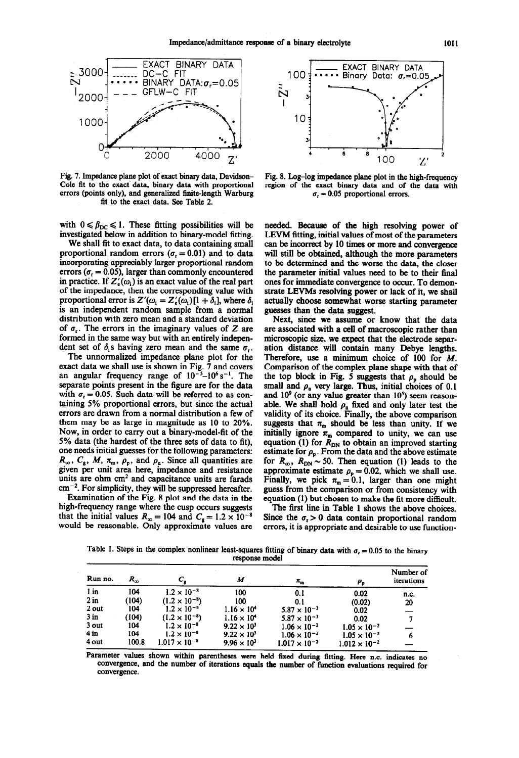

Fig. 7. Impedance plane plot of exact binary data, Davidson-Cole fit to the exact' data, binary data with proportional errors (points **only), and generalized finite-length** Warburg fit to the exact data. See Table 2.

with  $0 \le \beta_{DC} \le 1$ . These fitting possibilities will be investigated below in addition to binary-model fitting.

We shall fit to exact data, to data containing small proportional random errors ( $\sigma_r = 0.01$ ) and to data incorporating appreciably larger proportional random errors ( $\sigma_{\rm r}$  = 0.05), larger than commonly encountered in practice. If  $Z'_{\epsilon}(\omega_i)$  is an exact value of the real part of the impedance, then the corresponding value with proportional error is  $Z'(\omega_i = Z'_i(\omega_i)[1 + \delta_i]$ , where  $\delta_i$ is an independent random sample from a normal distribution with zero mean and a standard deviation of  $\sigma_r$ . The errors in the imaginary values of Z are formed in the same way but with an entirely independent set of  $\delta_i$ s having zero mean and the same  $\sigma_i$ .

The unnormalixed impedance plane plot for the exact data we shall use is shown in Fig. 7 and covers an angular frequency range of  $10^{-5}$ -10<sup>6</sup> s<sup>-1</sup>. The separate points present in the figure are for the data with  $\sigma_r = 0.05$ . Such data will be referred to as containing 5% proportional errors, but since the actual errors are drawn from a normal distribution a few of them may be as large in magnitude as 10 to 20%. Now, in order to carry out a binary-model-fit of the 5% data (the hardest of the three sets of data to fit), one needs initial guesses for the following parameters:  $R_{\infty}$ ,  $C_{g}$ , *M*,  $\pi_{m}$ ,  $\rho_{p}$ , and  $\rho_{n}$ . Since all quantities are given per unit area here, impedance and resistance units are ohm cm<sup>2</sup> and capacitance units are farads  $cm^{-2}$ . For simplicity, they will be suppressed hereafter.

Examination of the Fig. 8 plot and the data in the high-frequency range where the cusp occurs suggests that the initial values  $R_{\infty} = 104$  and  $C_{\infty} = 1.2 \times 10^{-8}$ would be reasonable. Only approximate values are



Fig. 8. Log-log impedance plane plot in the high-frequency region of the exact binary data and of the data with  $\sigma_r = 0.05$  proportional errors.

needed. Because of the high resolving power of LEVM fitting, initial values of most of the parameters can be incorrect by 10 times or more and convergence will still be obtained, although the more parameters to be determined and the worse the data, the closer the parameter initial values need to be to their final ones for immediate convergence to occur. To demonstrate LEVMs resolving power or lack of it, we shall actually choose somewhat worse starting parameter guesses than the data suggest.

Next, since we assume or know that the data are associated with a cell of macroscopic rather than microscopic size, we expect that the electrode separation distance will contain many Debye lengths. Therefore, use a minimum choice of 100 for M. Comparison of the complex plane shape with that of the top block in Fig. 5 suggests that  $\rho_p$  should be small and  $\rho_n$  very large. Thus, initial choices of 0.1 and  $10^9$  (or any value greater than  $10^5$ ) seem reasonable. We shall hold  $\rho_n$  fixed and only later test the validity of its choice. Finally, the above comparison suggests that  $\pi_m$  should be less than unity. If we initially ignore  $\pi_m$  compared to unity, we can use equation (1) for  $\bar{R}_{DN}$  to obtain an improved starting estimate for  $\rho_p$ . From the data and the above estimate for  $R_{\infty}$ ,  $R_{DN} \sim 50$ . Then equation (1) leads to the approximate estimate  $\rho_{\rm p} = 0.02$ , which we shall use. Finally, we pick  $\pi_{m} = 0.1$ , larger than one might guess from the comparison or from consistency with equation (1) but chosen to make the fit more difficult.

The first line in Table 1 shows the above choices. Since the  $\sigma_r > 0$  data contain proportional random errors, it is appropriate and desirable to use function-

Table 1. Steps in the complex nonlinear least-squares fitting of binary data with  $\sigma_r = 0.05$  to the binary **response model** 

| Run no. | $R_{\rm m}$ |                        | M                    | $\pi_{\mathbf{m}}$     | $\rho_{\rm p}$         | Number of<br>iterations |
|---------|-------------|------------------------|----------------------|------------------------|------------------------|-------------------------|
| $1$ in  | 104         | $1.2 \times 10^{-8}$   | 100                  | 0.1                    | 0.02                   | n.c.                    |
| $2$ in  | (104)       | $(1.2 \times 10^{-8})$ | 100                  | 0.1                    | (0.02)                 | 20                      |
| 2 out   | 104         | $1.2 \times 10^{-8}$   | $1.16 \times 10^{4}$ | $5.87 \times 10^{-3}$  | 0.02                   |                         |
| $3$ in  | (104)       | $(1.2 \times 10^{-8})$ | $1.16 \times 10^{4}$ | $5.87 \times 10^{-3}$  | 0.02                   |                         |
| 3 out   | 104         | $1.2 \times 10^{-8}$   | $9.22 \times 10^{3}$ | $1.06 \times 10^{-2}$  | $1.05 \times 10^{-2}$  |                         |
| $4$ in  | 104         | $1.2 \times 10^{-8}$   | $9.22 \times 10^{3}$ | $1.06 \times 10^{-2}$  | $1.05 \times 10^{-2}$  | 6                       |
| 4 out   | 100.8       | $1.017 \times 10^{-8}$ | $9.96 \times 10^{3}$ | $1.017 \times 10^{-2}$ | $1.012 \times 10^{-2}$ |                         |

**Parameter values shown within parentheses were held tixed during fitting.** Here **n.c. indicates no**  convergence, **and the number of iterations equals the number of function evaluations required for convergence.**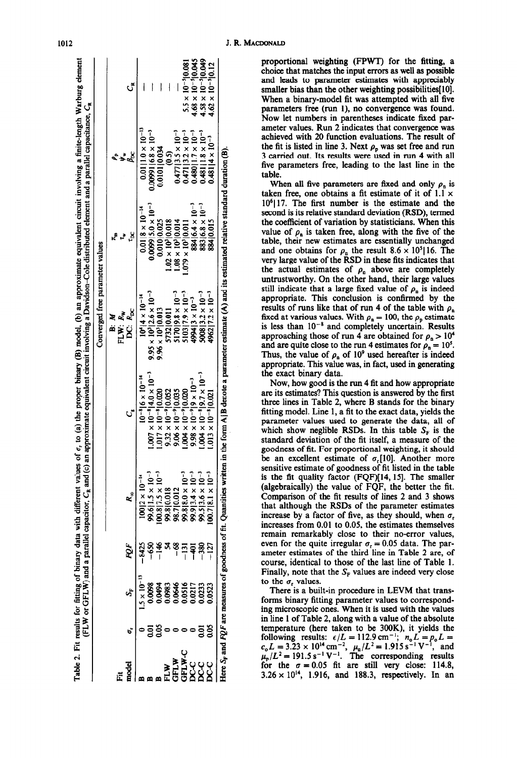|               |               | Table 2. Fit results for fitting of binary data with different   |         |                                | t values of $\sigma$ , to (a) the proper binary (B) model, (b) an approximate equivalent circuit involving a finite-length Warburg element<br>(FLW or GFLW) and a parallel capacitor, C <sub>a</sub> and (c) an approximate equivalent circuit involving a Davidson-Cole distributed element and a parallel capacitance, C <sub>a</sub> |                                                        |                                         |                                         |                                                              |
|---------------|---------------|------------------------------------------------------------------|---------|--------------------------------|-----------------------------------------------------------------------------------------------------------------------------------------------------------------------------------------------------------------------------------------------------------------------------------------------------------------------------------------|--------------------------------------------------------|-----------------------------------------|-----------------------------------------|--------------------------------------------------------------|
|               |               |                                                                  |         |                                |                                                                                                                                                                                                                                                                                                                                         | Converged free parameter values                        |                                         |                                         |                                                              |
| È             |               |                                                                  |         |                                |                                                                                                                                                                                                                                                                                                                                         | B: M                                                   |                                         |                                         |                                                              |
| aode          | ς,            |                                                                  | FOF     |                                |                                                                                                                                                                                                                                                                                                                                         | FLW: $R_{\rm w}$<br>DC: $R_{\rm pc}$                   | PQ <sub>1</sub>                         | bec                                     | ಲೆ                                                           |
|               |               | $1.5 \times 10^{-13}$                                            | $-8425$ | $\frac{1}{6}$<br>$\frac{2}{8}$ | $10^{-8}$ 6 $\times 10^{-14}$                                                                                                                                                                                                                                                                                                           | $10^{4}$ 4 $\times$ $10^{-14}$                         | $0.018 \times 10^{-14}$                 | $0.01$   1.0 × 10 <sup>-13</sup>        |                                                              |
|               |               |                                                                  |         | $99.611.5 \times 10^{-3}$      | $1.007 \times 10^{-8}$   4.0 $\times 10^{-3}$                                                                                                                                                                                                                                                                                           | $9.95 \times 10^3$   2.6 $\times 10^{-3}$              | $0.0099$  5.0 $\times$ 10 <sup>-3</sup> | $0.0099116.8 \times 10^{-3}$            |                                                              |
|               |               | <b>PGPO'S</b>                                                    |         | $10^{-3}$<br>$00.817.5 \times$ | $1.017 \times 10^{-8} 0.020$                                                                                                                                                                                                                                                                                                            | $9.96 \times 10^{3}  0.013$                            | 0.01010.025                             | 0.010110.034                            |                                                              |
|               |               | 0.0983                                                           |         | 99.810.018                     | $9.32 \times 10^{-9}  0.052$                                                                                                                                                                                                                                                                                                            | 573210.011                                             | $1.02 \times 10^{3}  0.018$             | $\overline{6}$                          |                                                              |
| NTHC          |               |                                                                  |         | 98.710.012                     | $9.06 \times 10^{-9}$   0.035                                                                                                                                                                                                                                                                                                           |                                                        | $1.08 \times 10^{3}   0.014$            | $0.477$   3.5 $\times$ 10 <sup>-3</sup> |                                                              |
| <b>GFLW-C</b> |               | .0516                                                            |         | $10^{-3}$<br>99.818.0 ×        | $0000 _{6}$ = 01 × 100 × 100                                                                                                                                                                                                                                                                                                            | $5170 9.8 \times 10^{-3}$<br>$5103 7.9 \times 10^{-3}$ | $079 \times 10^{3}   0.011$             | $0.471$ $ 3.2 \times 10^{-3}$           | $5.5 \times 10^{-5}   0.081$                                 |
| <b>CC</b>     |               | 0.0217                                                           |         | $10^{-3}$<br>99.913.4 ×        | $9.98 \times 10^{-9}$   9 $\times 10^{-3}$                                                                                                                                                                                                                                                                                              | $4994 3 \times 10^{-3}$                                | $884 6.4 \times 10^{-3}$                | $0.480$  1.7 $\times$ 10 <sup>-3</sup>  |                                                              |
| <b>SS</b>     |               | 0233                                                             | $-380$  | $10^{-3}$<br>99.513.6 x        | $0.004 \times 10^{-8}$   9.7 $\times$ 10 <sup>-3</sup>                                                                                                                                                                                                                                                                                  | $5008$   $3.2 \times 10^{-3}$                          | $883 6.8 \times 10^{-3}$                | $0.481$   1.8 $\times$ 10 <sup>-3</sup> | $4.68 \times 10^{-5}  0.045$<br>4.58 $\times 10^{-5}  0.049$ |
| ں<br>یا       | $\frac{2}{3}$ | 0.523                                                            |         | $10^{-3}$<br>$00.718.1 \times$ | $.013 \times 10^{-8}$   0.021                                                                                                                                                                                                                                                                                                           | $962$ [7.2 × 10 <sup>-3</sup>                          | 884 0.015                               | $0.48114 \times 10^{-3}$                | $4.62 \times 10^{-5}$   0.12                                 |
|               |               | Here $S_F$ and $FQF$ are measures of goodness of fit. Quantities |         |                                | written in the form $A \mid B$ denote a parameter estimate $(A)$ and its estimated relative standard duration $(B)$ .                                                                                                                                                                                                                   |                                                        |                                         |                                         |                                                              |

proportional weighting (FPWT) for the fitting, a choice that matches the input errors as well as possible and leads to parameter estimates with appreciably smaller bias than the other weighting possibilities[lO]. When a binary-mode1 fit was attempted with all five parameters free (run l), no convergence was found. Now let numbers in parentheses indicate fixed parameter values. Run 2 indicates that convergence was achieved with 20 function evaluations. The result of the fit is listed in line 3. Next  $\rho_{\rm p}$  was set free and run 3 carried out. Its results were used in run 4 with all five parameters free, leading to the last line in the table.

When all five parameters are fixed and only  $\rho_n$  is taken free, one obtains a fit estimate of it of  $1.1 \times$  $10<sup>6</sup>$  | 17. The first number is the estimate and the second is its relative standard deviation (RSD), termed the coefficient of variation by statisticians. When this value of  $\rho_n$  is taken free, along with the five of the table, their new estimates are essentially unchanged and one obtains for  $\rho_n$  the result 8.6  $\times$  10<sup>5</sup>|16. The very large value of the RSD in these fits indicates that the actual estimates of  $\rho_n$  above are completely untrustworthy. On the other hand, their large values still indicate that a large fixed value of  $\rho_n$  is indeed appropriate. This conclusion is confirmed by the results of runs like that of run 4 of the table with  $\rho_n$ fixed at various values. With  $\rho_n = 100$ , the  $\rho_n$  estimate is less than  $10^{-8}$  and completely uncertain. Results approaching those of run 4 are obtained for  $\rho_n > 10^4$ and are quite close to the run 4 estimates for  $\rho_n = 10^5$ . Thus, the value of  $\rho_n$  of 10<sup>9</sup> used hereafter is indeed appropriate. This value was, in fact, used in generating the exact binary data.

Now, how good is the run 4 fit and how appropriate are its estimates? This question is answered by the first three lines in Table 2, where B stands for the binary fitting model. Line 1, a fit to the exact data, yields the parameter values used to generate the data, all of which show neglible RSDs. In this table  $S_F$  is the standard deviation of the fit itself, a measure of the goodness of fit. For proportional weighting, it should be an excellent estimate of  $\sigma_{r}[10]$ . Another more sensitive estimate of goodness of fit listed in the table is the fit quality factor (FQF)[14, 15]. The smaller (algebraically) the value of FQF, the better the fit. Comparison of the fit results of lines 2 and 3 shows that although the RSDs of the parameter estimates increase by a factor of five, as they should, when  $\sigma_r$ increases from 0.01 to 0.05, the estimates themselves remain remarkably close to their no-error values, even for the quite irregular  $\sigma_r = 0.05$  data. The parameter estimates of the third line in Table 2 are, of course, identical to those of the last line of Table 1. Finally, note that the  $S_F$  values are indeed very close to the  $\sigma_r$  values.

There is a built-in procedure in LEVM that transforms binary fitting parameter values to corresponding microscopic ones. When it is used with the values in line 1 of Table 2, along with a value of the absolute temperature (here taken to be 3OOK), it yields the following results:  $\epsilon/L = 112.9 \text{ cm}^{-1}$ ;  $n_0 L = p_0 L =$  $c_0 L = 3.23 \times 10^{14} \text{ cm}^{-2}$ ,  $\mu_{\text{n}}/L^2 = 1.915 \text{ s}^{-1} \text{ V}^{-1}$ , and  $\mu_{\rm p}/L^2 = 191.5 \text{ s}^{-1} \text{ V}^{-1}$ . The corresponding results for the  $\sigma = 0.05$  fit are still very close: 114.8,  $3.26 \times 10^{14}$ , 1.916, and 188.3, respectively. In an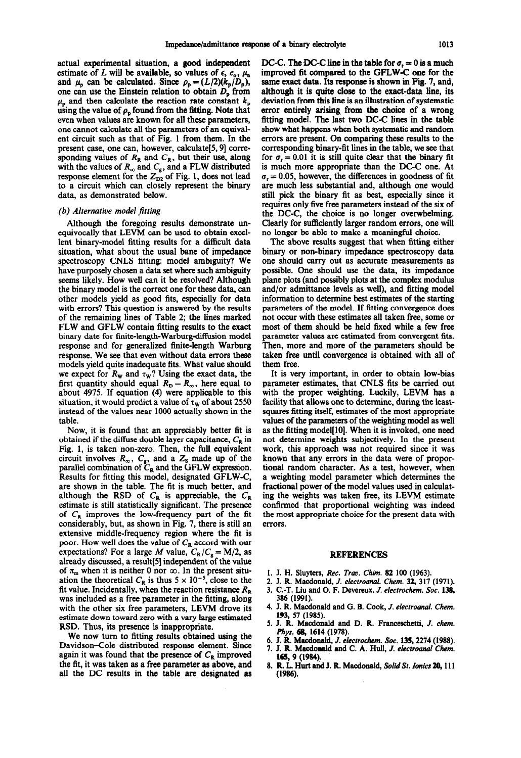actual experimental situation, a good independent estimate of *L* will be available, so values of  $\epsilon$ ,  $c_0$ ,  $\mu_a$ and  $\mu_{\rm p}$  can be calculated. Since  $\rho_{\rm p} = (L/2)(k_{\rm p}/D_{\rm p}),$ one can use the Einstein relation to obtain *Dp* from  $\mu_{\rm p}$  and then calculate the reaction rate constant  $k_{\rm p}$ using the value of  $\rho_p$  found from the fitting. Note that even when values are known for all these parameters, one cannot calculate all the parameters of an equivalent circuit such as that of Fig. 1 from them. In the present case, one can, however, calculate[5,9] corresponding values of  $R_R$  and  $C_R$ , but their use, along with the values of  $R_{\infty}$  and  $C_{\rm g}$ , and a FLW distributed response element for the  $Z_{D2}$  of Fig. 1, does not lead to a circuit which can closely represent the binary data, as demonstrated below.

## *(b) Alternative model fitting*

Although the foregoing results demonstrate unequivocally that LEVM can be used to obtain excellent binary-model fitting results for a difficult data situation, what about the usual bane of impedance spectroscopy CNLS fitting: model ambiguity? We have purposely chosen a data set where such ambiguity seems likely. How well can it be resolved? Although the binary model is the correct one for these data, can other models yield as good fits, especially for data with errors? This question is answered by the results of the remaining lines of Table 2; the lines marked FLW and GFLW contain fitting results to the exact binary date for finite-length-Warburg-diffusion model response and for generalized finite-length Warburg response. We see that even without data errors these models yield quite inadequate fits. What value should we expect for  $R_w$  and  $\tau_w$ ? Using the exact data, the first quantity should equal  $R_{\rm p} - R_{\rm m}$ , here equal to about 4975. If equation (4) were applicable to this situation, it would predict a value of  $\tau_w$  of about 2550 instead of the values near 1000 actually shown in the table.

Now, it is found that an appreciably better fit is obtained if the diffuse double layer capacitance,  $C_R$  in Fig. 1, is taken non-zero. Then, the full equivalent circuit involves  $R_{\infty}$ ,  $C_{\rm g}$ , and a  $Z_{\rm s}$  made up of the parallel combination of  $C_R$  and the GFLW expression. Results for fitting this model, designated GFLW-C, are shown in the table. The fit is much better, and although the RSD of  $C_R$  is appreciable, the  $C_R$ estimate is still statistically significant. The presence of  $C_R$  improves the low-frequency part of the fit considerably, but, as shown in Fig. 7, there is still an extensive middle-frequency region where the fit is poor. How well does the value of  $C_R$  accord with our expectations? For a large *M* value,  $C_R/C_g = M/2$ , as already discussed, a result[5] independent of the value of  $\pi_{m}$  when it is neither 0 nor  $\infty$ . In the present situation the theoretical  $C_R$  is thus  $5 \times 10^{-5}$ , close to the fit value. Incidentally, when the reaction resistance  $R<sub>R</sub>$ was included as a free parameter in the fitting, along with the other six free parameters, LEVM drove its estimate down toward zero with a vary large estimated RSD. Thus, its presence is inappropriate.

We now turn to fitting results obtained using the Davidson-Cole distributed response element. Since again it was found that the presence of  $C_R$  improved the fit, it was taken as a free parameter as above, and all the DC results in the table are designated as DC-C. The DC-C line in the table for  $\sigma_r = 0$  is a much improved fit compared to the GFLW-C one for the same exact data. Its response is shown in Fig. 7, and, although it is quite close to the exact-data line, its deviation from this line is an illustration of systematic error entirely arising, from the choice of a wrong fitting model. The last two DC-C lines in the table show what happens when both systematic and random errors are present. On comparing these results to the corresponding binary-fit lines in the table, we see that for  $\sigma = 0.01$  it is still quite clear that the binary fit is much more appropriate than the DC-C one. At  $\sigma_r = 0.05$ , however, the differences in goodness of fit are much less substantial and, although one would still pick the binary fit as best, especially since it requires only five free parameters instead of the six of the DC-C, the choice is no longer overwhelming. Clearly for sufficiently larger random errors, one will no longer be able to make a meaningful choice.

The above results suggest that when fitting either binary or non-binary impedance spectroscopy data one should carry out as accurate measurements as possible. One should use the data, its impedance plane plots (and possibly plots at the complex modulus and/or admittance levels as well), and fitting model information to determine best estimates of the starting parameters of the model. If fitting convergence does not occur with these estimates all taken free, some or most of them should be held fixed while a few free parameter values are estimated from convergent fits. Then, more and more of the parameters should be taken free until convergence is obtained with all of them free.

It is very important, in order to obtain low-bias parameter estimates, that CNLS fits be carried out with the proper weighting. Luckily, LEVM has a facility that allows one to determine, during the leastsquares fitting itself, estimates of the most appropriate values of the parameters of the weighting model as well as the fitting model[10]. When it is invoked, one need not determine weights subjectively. In the present work, this approach was not required since it was known that any errors in the data were of proportional random character. As a test, however, when a weighting model parameter which determines the fractional power of the model values used in calculating the weights was taken free, its LEVM estimate confirmed that proportional weighting was indeed the most appropriate choice for the present data with errors.

#### REFERENCES

- 1. J. H. Sluyters, Rec. *Truv. Chim. 82 100* (1963).
- 2. J. R. Macdonald, J. electroanal. Chem. 32, 317 (1971).
- 3. C.-T. Liu and O. F. Devereux, *J. electrochem. Soc.* 138, 386 (1991).
- 4. J. R. Macdonald and G. B. Cook, J. *electroonal. Chem.*  193, 57 (1985).
- 5. J. R. Macdonald and D. R. Franceschetti, J. chem. Phys. 68, 1614 (1978).
- 6. J. R. Macdonald. J. ekctrochem. Sot. **135.2274** (1988).
- I. J. R. Macdonald and C. A. Hull, *J. electroanal Chem. 165,9* (1984).
- 8. R. L. Hurt and J. R. Macdonald, *Solid St. Iontcs 20,111*  (1986).